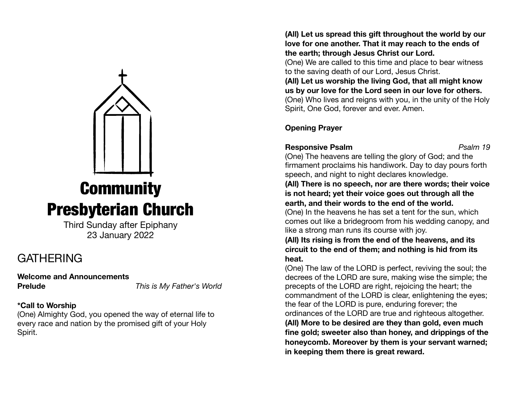

# **Community** Presbyterian Church

Third Sunday after Epiphany 23 January 2022

## GATHERING

**Welcome and Announcements** 

**Prelude** *This is My Father's World* 

## **\*Call to Worship**

(One) Almighty God, you opened the way of eternal life to every race and nation by the promised gift of your Holy Spirit.

**(All) Let us spread this gift throughout the world by our love for one another. That it may reach to the ends of the earth; through Jesus Christ our Lord.** 

(One) We are called to this time and place to bear witness to the saving death of our Lord, Jesus Christ.

**(All) Let us worship the living God, that all might know us by our love for the Lord seen in our love for others.**  (One) Who lives and reigns with you, in the unity of the Holy Spirit, One God, forever and ever. Amen.

**Opening Prayer** 

## **Responsive Psalm** *Psalm 19*

(One) The heavens are telling the glory of God; and the firmament proclaims his handiwork. Day to day pours forth speech, and night to night declares knowledge.

**(All) There is no speech, nor are there words; their voice is not heard; yet their voice goes out through all the earth, and their words to the end of the world.** 

(One) In the heavens he has set a tent for the sun, which comes out like a bridegroom from his wedding canopy, and like a strong man runs its course with joy.

#### **(All) Its rising is from the end of the heavens, and its circuit to the end of them; and nothing is hid from its heat.**

(One) The law of the LORD is perfect, reviving the soul; the decrees of the LORD are sure, making wise the simple; the precepts of the LORD are right, rejoicing the heart; the commandment of the LORD is clear, enlightening the eyes; the fear of the LORD is pure, enduring forever; the ordinances of the LORD are true and righteous altogether.

**(All) More to be desired are they than gold, even much fine gold; sweeter also than honey, and drippings of the honeycomb. Moreover by them is your servant warned; in keeping them there is great reward.**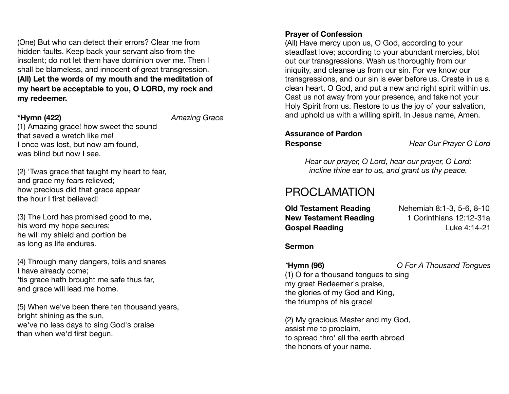(One) But who can detect their errors? Clear me from hidden faults. Keep back your servant also from the insolent; do not let them have dominion over me. Then I shall be blameless, and innocent of great transgression. **(All) Let the words of my mouth and the meditation of my heart be acceptable to you, O LORD, my rock and my redeemer.**

**\*Hymn (422)** *Amazing Grace* 

(1) Amazing grace! how sweet the sound that saved a wretch like me! I once was lost, but now am found, was blind but now I see.

(2) 'Twas grace that taught my heart to fear, and grace my fears relieved; how precious did that grace appear the hour I first believed!

(3) The Lord has promised good to me, his word my hope secures; he will my shield and portion be as long as life endures.

(4) Through many dangers, toils and snares I have already come; 'tis grace hath brought me safe thus far, and grace will lead me home.

(5) When we've been there ten thousand years, bright shining as the sun, we've no less days to sing God's praise than when we'd first begun.

#### **Prayer of Confession**

(All) Have mercy upon us, O God, according to your steadfast love; according to your abundant mercies, blot out our transgressions. Wash us thoroughly from our iniquity, and cleanse us from our sin. For we know our transgressions, and our sin is ever before us. Create in us a clean heart, O God, and put a new and right spirit within us. Cast us not away from your presence, and take not your Holy Spirit from us. Restore to us the joy of your salvation, and uphold us with a willing spirit. In Jesus name, Amen.

# **Assurance of Pardon**

**Response** *Hear Our Prayer O'Lord* 

*Hear our prayer, O Lord, hear our prayer, O Lord; incline thine ear to us, and grant us thy peace.* 

## PROCLAMATION

**Old Testament Reading Billion Nehemiah 8:1-3, 5-6, 8-10 New Testament Reading 1 Corinthians 12:12-31a Gospel Reading** Luke 4:14-21

**Sermon** 

*\****Hymn (96)** *O For A Thousand Tongues*  (1) O for a thousand tongues to sing my great Redeemer's praise, the glories of my God and King, the triumphs of his grace!

(2) My gracious Master and my God, assist me to proclaim, to spread thro' all the earth abroad the honors of your name.